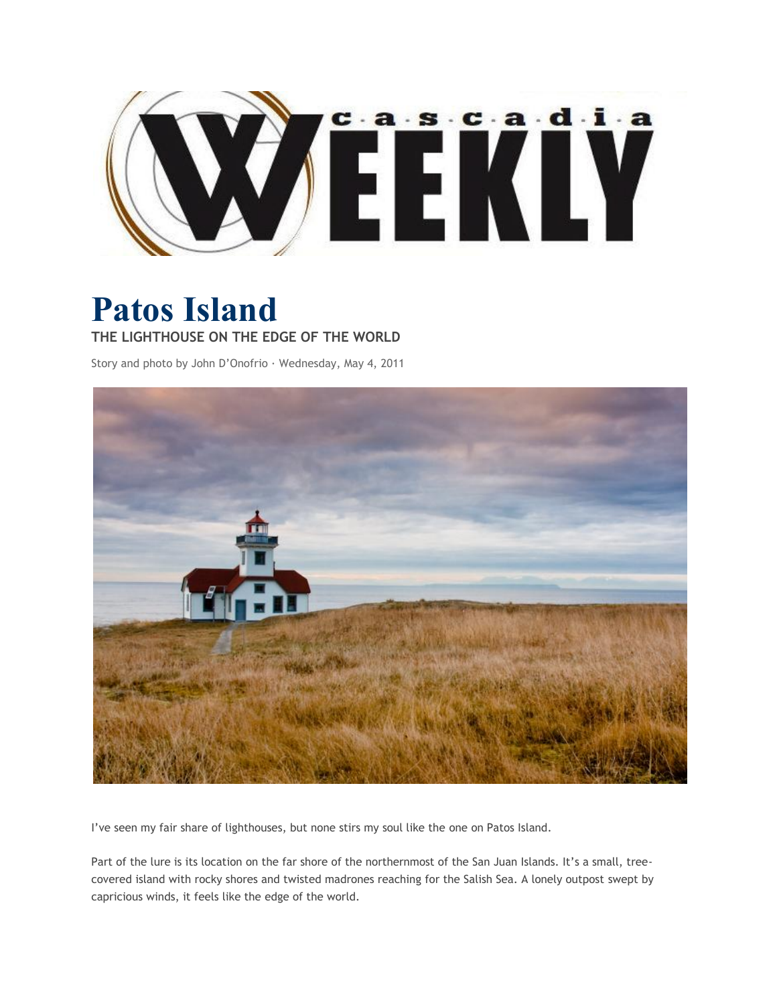

## **Patos Island THE LIGHTHOUSE ON THE EDGE OF THE WORLD**

Story and photo by John D'Onofrio · Wednesday, May 4, 2011



I've seen my fair share of lighthouses, but none stirs my soul like the one on Patos Island.

Part of the lure is its location on the far shore of the northernmost of the San Juan Islands. It's a small, treecovered island with rocky shores and twisted madrones reaching for the Salish Sea. A lonely outpost swept by capricious winds, it feels like the edge of the world.